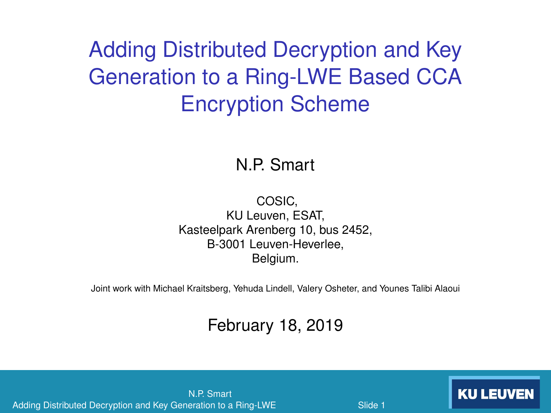# Adding Distributed Decryption and Key Generation to a Ring-LWE Based CCA Encryption Scheme

N.P. Smart

COSIC, KU Leuven, ESAT, Kasteelpark Arenberg 10, bus 2452, B-3001 Leuven-Heverlee, Belgium.

Joint work with Michael Kraitsberg, Yehuda Lindell, Valery Osheter, and Younes Talibi Alaoui

#### February 18, 2019

N.P. Smart Adding Distributed Decryption and Key Generation to a Ring-LWE **KU LEUVEN**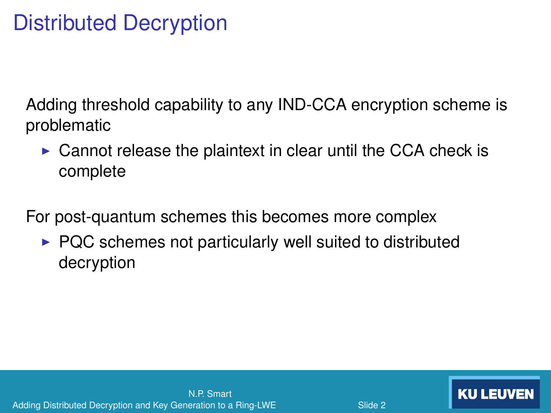# Distributed Decryption

Adding threshold capability to any IND-CCA encryption scheme is problematic

 $\triangleright$  Cannot release the plaintext in clear until the CCA check is complete

For post-quantum schemes this becomes more complex

 $\triangleright$  PQC schemes not particularly well suited to distributed decryption

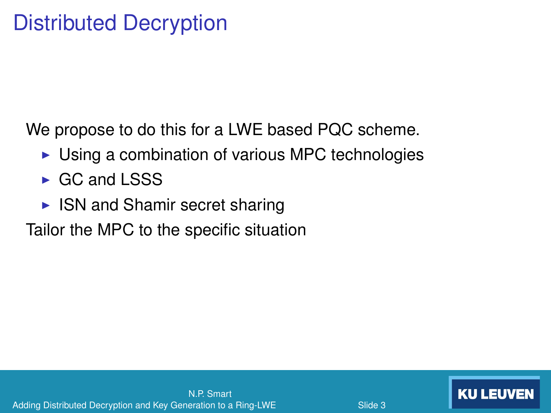We propose to do this for a LWE based PQC scheme.

- $\triangleright$  Using a combination of various MPC technologies
- $\triangleright$  GC and LSSS
- $\triangleright$  ISN and Shamir secret sharing

Tailor the MPC to the specific situation

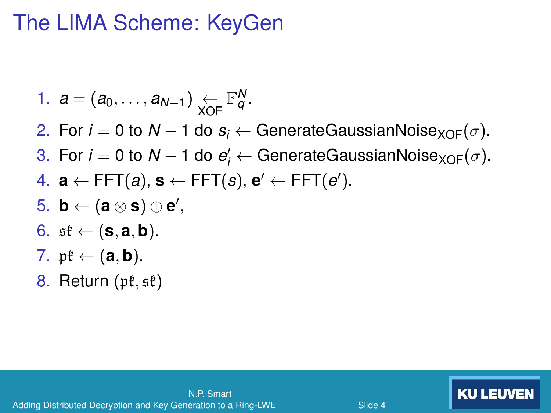#### The LIMA Scheme: KeyGen

\n- 1. 
$$
a = (a_0, \ldots, a_{N-1}) \leftarrow \mathbb{F}_q^N
$$
.
\n- 2. For  $i = 0$  to  $N - 1$  do  $s_i \leftarrow$  GenerateGaussianNoise<sub>XOF</sub>( $\sigma$ ).
\n- 3. For  $i = 0$  to  $N - 1$  do  $e'_i \leftarrow$  GenerateGaussianNoise<sub>XOF</sub>( $\sigma$ ).
\n- 4.  $\mathbf{a} \leftarrow$  FFT(a),  $\mathbf{s} \leftarrow$  FFT(s),  $\mathbf{e}' \leftarrow$  FFT(e').
\n- 5.  $\mathbf{b} \leftarrow (\mathbf{a} \otimes \mathbf{s}) \oplus \mathbf{e}'$ ,
\n- 6.  $\mathfrak{st} \leftarrow (\mathbf{s}, \mathbf{a}, \mathbf{b})$ .
\n- 7.  $\mathfrak{pk} \leftarrow (\mathbf{a}, \mathbf{b})$ .
\n

8. Return  $(pt, st)$ 

<span id="page-3-1"></span><span id="page-3-0"></span>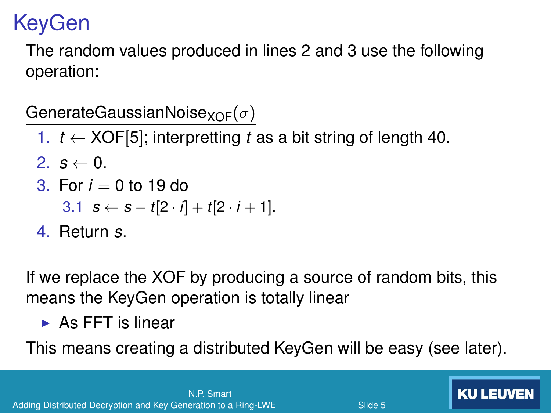# KeyGen

The random values produced in lines [2](#page-3-0) and [3](#page-3-1) use the following operation:

GenerateGaussianNoise<sub>XOF</sub>( $\sigma$ )

- 1. *t* ← XOF[5]; interpretting *t* as a bit string of length 40.
- 2.  $s \leftarrow 0$ .
- 3. For  $i = 0$  to 19 do

3.1 
$$
s \leftarrow s - t[2 \cdot i] + t[2 \cdot i + 1].
$$

4. Return *s*.

If we replace the XOF by producing a source of random bits, this means the KeyGen operation is totally linear

 $\triangleright$  As FFT is linear

This means creating a distributed KeyGen will be easy (see later).

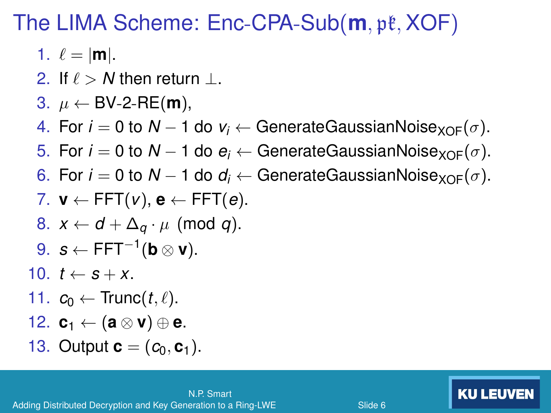### The LIMA Scheme: Enc-CPA-Sub(**m**, pk, XOF)

- 1.  $\ell = |m|$ .
- 2. If  $\ell > N$  then return ⊥.
- 3.  $\mu \leftarrow BV-2-RE(m)$ ,

4. For  $i = 0$  to  $N - 1$  do  $v_i \leftarrow$  GenerateGaussianNoise<sub>XOF</sub>( $\sigma$ ).

- 5. For  $i = 0$  to  $N 1$  do  $e_i \leftarrow$  GenerateGaussianNoise<sub>XOF</sub>( $\sigma$ ).
- 6. For  $i = 0$  to  $N 1$  do  $d_i \leftarrow$  GenerateGaussianNoise<sub>XOF</sub>( $\sigma$ ).

7. 
$$
\mathbf{v} \leftarrow \mathsf{FFT}(v)
$$
,  $\mathbf{e} \leftarrow \mathsf{FFT}(e)$ .

- 8.  $x \leftarrow d + \Delta_q \cdot \mu \pmod{q}$ .
- 9.  $s \leftarrow \text{FFT}^{-1}$ (**b** ⊗ **v**).
- 10.  $t \leftarrow s + x$ .
- 11.  $c_0 \leftarrow \text{Trunc}(t, \ell)$ .
- 12.  $\mathbf{c}_1 \leftarrow (\mathbf{a} \otimes \mathbf{v}) \oplus \mathbf{e}.$
- 13. Output **.**

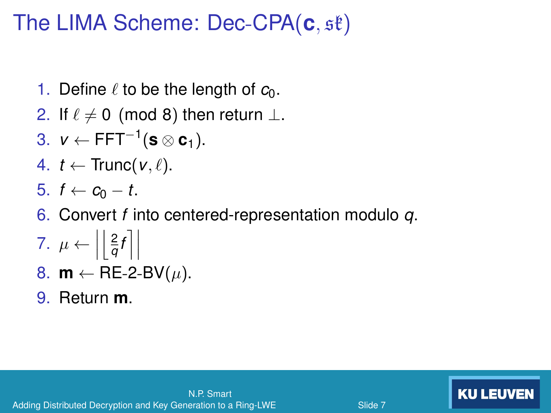## The LIMA Scheme: Dec-CPA(**c**, sk)

- 1. Define  $\ell$  to be the length of  $c_0$ .
- 2. If  $\ell \neq 0$  (mod 8) then return  $\perp$ .
- 3.  $v \leftarrow \text{FFT}^{-1}$ (**s** ⊗ **c**<sub>1</sub>).
- 4.  $t \leftarrow \text{Trunc}(v, \ell)$ .
- 5.  $f$  ←  $c_0$  −  $t$ .
- 6. Convert *f* into centered-representation modulo *q*.
- $\frac{2}{q}f$   $\Big\}$ 7.  $\mu \leftarrow \left| \frac{2}{q} \right|$
- 8.  $m \leftarrow \text{RE-2-BV}(\mu)$ .
- 9. Return **m**.

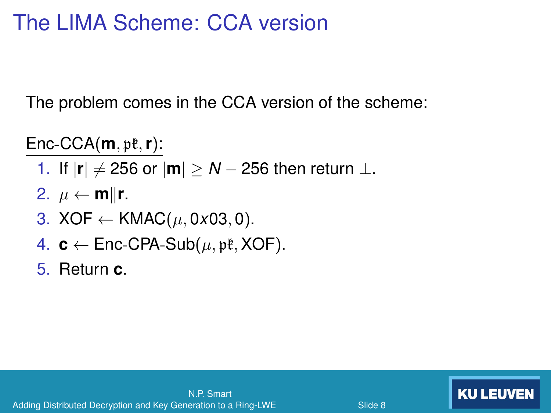## The LIMA Scheme: CCA version

The problem comes in the CCA version of the scheme:

 $Enc-CCA(**m**,  $p\ell, r$ ):$ 

- 1. If  $|\mathbf{r}| \neq 256$  or  $|\mathbf{m}| \geq N 256$  then return  $\perp$ .
- 2.  $\mu \leftarrow m||r$ .
- 3. XOF  $\leftarrow$  KMAC( $\mu$ , 0x03, 0).
- 4.  $c \leftarrow$  Enc-CPA-Sub( $\mu$ ,  $\nu$ **t**, XOF).

5. Return **c**.



**KU LEUVEN**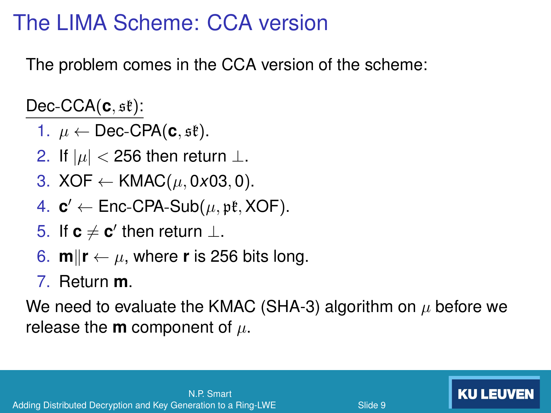## The LIMA Scheme: CCA version

The problem comes in the CCA version of the scheme:

 $Dec-CCA(c, st):$ 

- 1.  $\mu \leftarrow$  Dec-CPA(**c**,  $\mathfrak{se}($ ).
- 2. If  $|\mu|$  < 256 then return  $\perp$ .
- 3. XOF  $\leftarrow$  KMAC( $\mu$ , 0x03, 0).
- 4.  $c' \leftarrow$  Enc-CPA-Sub( $\mu$ , pt, XOF).
- 5. If  $c \neq c'$  then return  $\perp$ .
- 6.  $\mathbf{m}$ || $\mathbf{r} \leftarrow \mu$ , where **r** is 256 bits long.
- 7. Return **m**.

We need to evaluate the KMAC (SHA-3) algorithm on  $\mu$  before we release the **m** component of  $\mu$ .

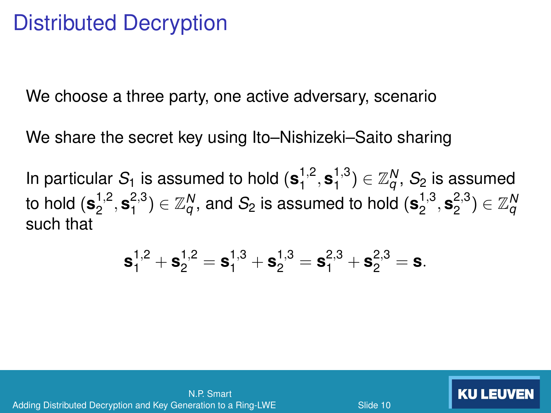#### Distributed Decryption

We choose a three party, one active adversary, scenario

We share the secret key using Ito–Nishizeki–Saito sharing

In particular  $S_1$  is assumed to hold  $({\bf s}_1^{1,2},{\bf s}_1^{1,3})\in {\mathbb Z}_q^N,$   $S_2$  is assumed  $1$  to hold  $(\mathbf{s}_2^{1,2}, \mathbf{s}_1^{2,3}) \in \mathbb{Z}_q^N,$  and  $S_2$  is assumed to hold  $(\mathbf{s}_2^{1,3}, \mathbf{s}_2^{2,3}) \in \mathbb{Z}_q^N$ such that

$$
\textbf{s}_1^{1,2} + \textbf{s}_2^{1,2} = \textbf{s}_1^{1,3} + \textbf{s}_2^{1,3} = \textbf{s}_1^{2,3} + \textbf{s}_2^{2,3} = \textbf{s}.
$$



**KU LEUVEN**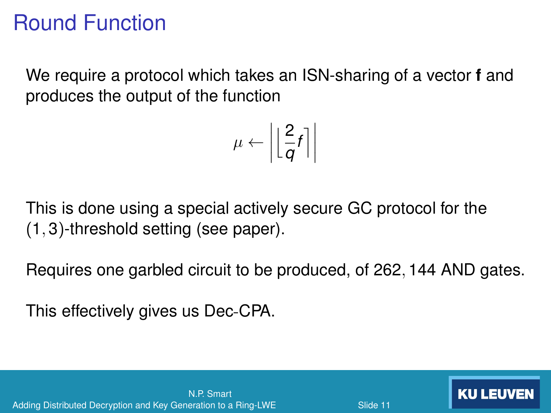## Round Function

We require a protocol which takes an ISN-sharing of a vector **f** and produces the output of the function

$$
\mu \leftarrow \left| \left\lfloor \frac{2}{q} f \right\rceil \right|
$$

This is done using a special actively secure GC protocol for the (1, 3)-threshold setting (see paper).

Requires one garbled circuit to be produced, of 262, 144 AND gates.

This effectively gives us Dec-CPA.



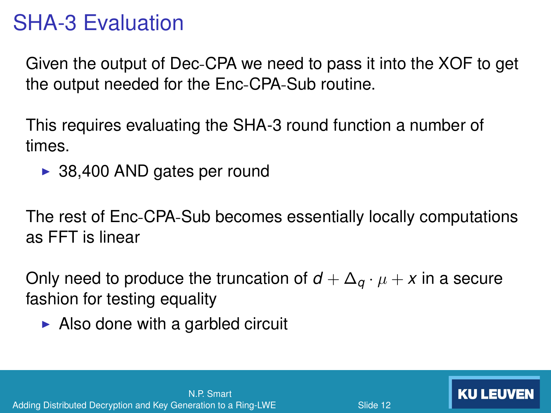### SHA-3 Evaluation

Given the output of Dec-CPA we need to pass it into the XOF to get the output needed for the Enc-CPA-Sub routine.

This requires evaluating the SHA-3 round function a number of times.

 $\triangleright$  38,400 AND gates per round

The rest of Enc-CPA-Sub becomes essentially locally computations as FFT is linear

Only need to produce the truncation of  $d + \Delta_a \cdot \mu + x$  in a secure fashion for testing equality

 $\triangleright$  Also done with a garbled circuit

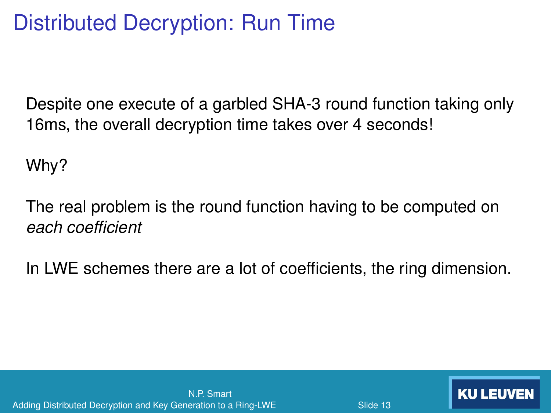# Distributed Decryption: Run Time

Despite one execute of a garbled SHA-3 round function taking only 16ms, the overall decryption time takes over 4 seconds!

Why?

The real problem is the round function having to be computed on *each coeffcient* 

In LWE schemes there are a lot of coefficients, the ring dimension.

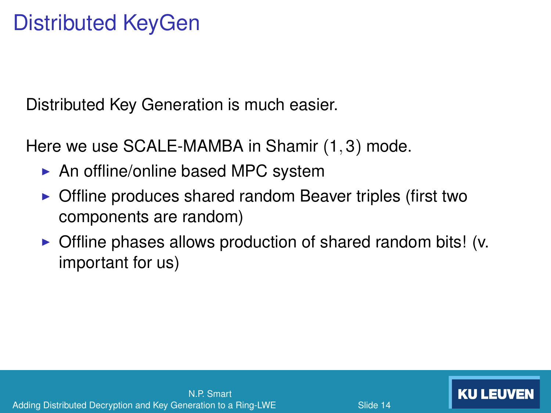Distributed Key Generation is much easier.

Here we use SCALE-MAMBA in Shamir (1, 3) mode.

- $\triangleright$  An offline/online based MPC system
- $\triangleright$  Offline produces shared random Beaver triples (first two components are random)
- $\triangleright$  Offline phases allows production of shared random bits! (v. important for us)

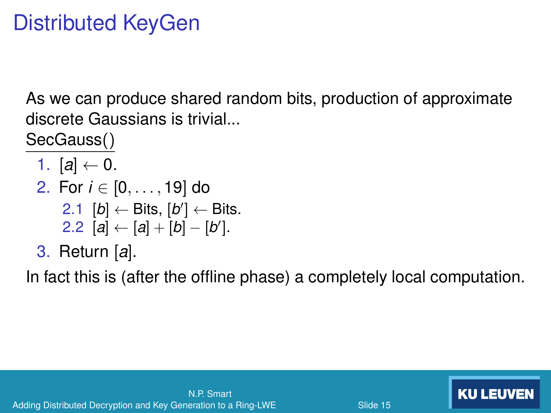As we can produce shared random bits, production of approximate discrete Gaussians is trivial...

SecGauss()

- 1.  $[a] \leftarrow 0$ .
- 2. For *i* ∈ [0, . . . , 19] do 2.1  $[b]$  ← Bits,  $[b']$  ← Bits. 2.2  $[a] \leftarrow [a] + [b] - [b']$ .
- 3. Return [*a*].

In fact this is (after the offine phase) a completely local computation.

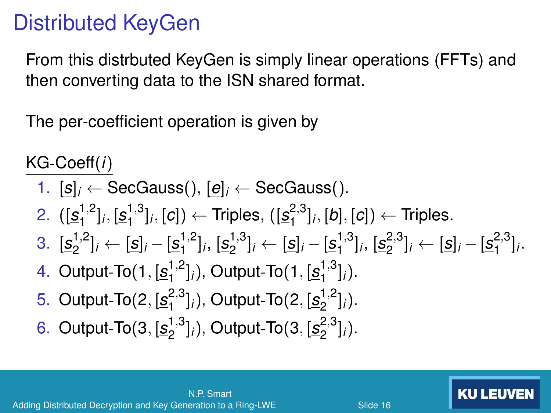From this distrbuted KeyGen is simply linear operations (FFTs) and then converting data to the ISN shared format.

The per-coefficient operation is given by

KG-Coeff(*i*)

\n- 1. 
$$
[s]_i \leftarrow
$$
 SecGauss(),  $[e]_i \leftarrow$  SecGauss().
\n- 2.  $([s_1^{1,2}]_i, [s_1^{1,3}]_i, [c]) \leftarrow$  Triples,  $([s_1^{2,3}]_i, [b], [c]) \leftarrow$  Triples.
\n- 3.  $[s_2^{1,2}]_i \leftarrow [s]_i - [s_1^{1,2}]_i, [s_2^{1,3}]_i \leftarrow [s]_i - [s_1^{1,3}]_i, [s_2^{2,3}]_i \leftarrow [s]_i - [s_1^{2,3}]_i.$
\n- 4. Output-To(1,  $[s_1^{1,2}]_i$ ), Output-To(1,  $[s_1^{1,3}]_i$ ).
\n- 5. Output-To(2,  $[s_2^{2,3}]_i$ ), Output-To(2,  $[s_2^{1,2}]_i$ ).
\n- 6. Output-To(3,  $[s_2^{1,3}]_i$ ), Output-To(3,  $[s_2^{2,3}]_i$ ).
\n



Slide <sub>16</sub>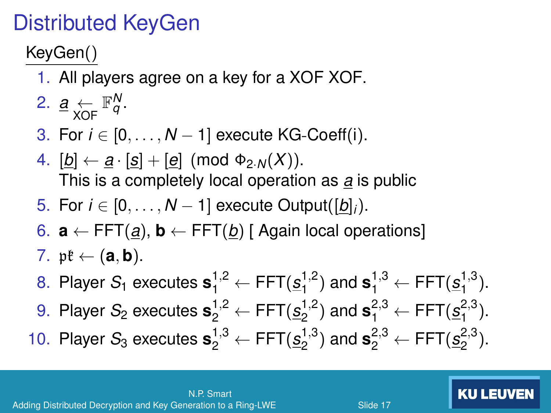KeyGen()

- 1. All players agree on a key for a XOF XOF.
- 2.  $\underline{a} \leftarrow \mathbb{F}_q^N$ .
- 3. For *i* ∈ [0, . . . , *N* − 1] execute KG-Coeff(i).
- 4.  $[b] \leftarrow a \cdot [s] + [e] \pmod{\Phi_{2,N}(X)}$ . This is a completely local operation as *a* is public
- 5. For  $i \in [0, \ldots, N-1]$  execute Output( $[b]_i$ ).
- 6. **a** ← FFT(*a*), **b** ← FFT(*b*) [ Again local operations]
- 7.  $\mathfrak{pk} \leftarrow (\mathbf{a}, \mathbf{b})$ .
- 8. Player *S*<sub>1</sub> executes  $\mathbf{s}_1^{1,2}$  ← FFT( $s_1^{1,2}$ ) and  $\mathbf{s}_1^{1,3}$  ← FFT( $s_1^{1,3}$ ).
- 9. Player *S*<sub>2</sub> executes  $\mathbf{s}_{2}^{1,2} \leftarrow$  FFT $(s_{2}^{1,2})$  and  $\mathbf{s}_{1}^{2,3} \leftarrow$  FFT $(s_{1}^{2,3})$ . 10. Player *S*<sub>3</sub> executes  $\mathbf{s}_2^{1,3} \leftarrow$  FFT( $s_2^{1,3}$ ) and  $\mathbf{s}_2^{2,3} \leftarrow$  FFT( $s_2^{2,3}$ ).

**KU LEUVEN**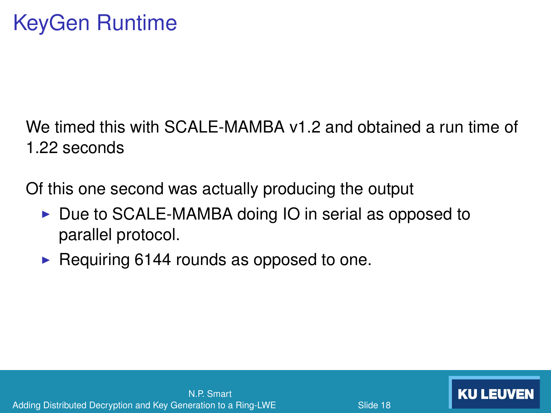We timed this with SCALE-MAMBA v1.2 and obtained a run time of 1.22 seconds

Of this one second was actually producing the output

- $\triangleright$  Due to SCALE-MAMBA doing IO in serial as opposed to parallel protocol.
- $\triangleright$  Requiring 6144 rounds as opposed to one.

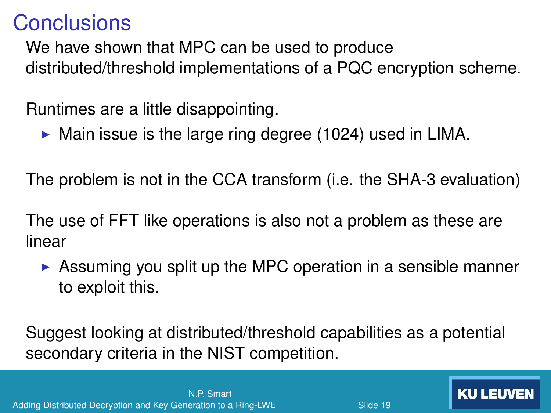#### **Conclusions**

We have shown that MPC can be used to produce distributed/threshold implementations of a PQC encryption scheme.

Runtimes are a little disappointing.

 $\triangleright$  Main issue is the large ring degree (1024) used in LIMA.

The problem is not in the CCA transform (i.e. the SHA-3 evaluation)

The use of FFT like operations is also not a problem as these are linear

 $\triangleright$  Assuming you split up the MPC operation in a sensible manner to exploit this.

Slide 19

Suggest looking at distributed/threshold capabilities as a potential secondary criteria in the NIST competition.